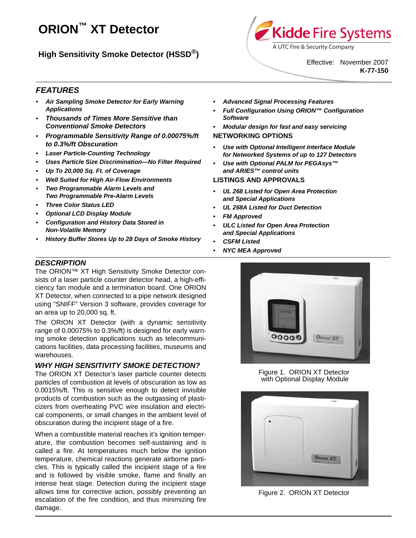# **ORION™ XT Detector**

# **High Sensitivity Smoke Detector (HSSD®)**



*• Advanced Signal Processing Features*

*• Full Configuration Using ORION™ Configuration*

*• Modular design for fast and easy servicing*

*• Use with Optional Intelligent Interface Module for Networked Systems of up to 127 Detectors • Use with Optional PALM for PEGAsys™* 

*• UL 268 Listed for Open Area Protection*

*• UL 268A Listed for Duct Detection* 

*• ULC Listed for Open Area Protection*

Effective: November 2007 **K-77-150**

## *FEATURES*

- *Air Sampling Smoke Detector for Early Warning Applications*
- *• Thousands of Times More Sensitive than Conventional Smoke Detectors*
- *• Programmable Sensitivity Range of 0.00075%/ft to 0.3%/ft Obscuration*
- *Laser Particle-Counting Technology*
- *Uses Particle Size Discrimination—No Filter Required*
- *Up To 20,000 Sq. Ft. of Coverage*
- *Well Suited for High Air-Flow Environments*
- *Two Programmable Alarm Levels and Two Programmable Pre-Alarm Levels*
- *Three Color Status LED*
- *Optional LCD Display Module*
- *Configuration and History Data Stored in Non-Volatile Memory*
- *History Buffer Stores Up to 28 Days of Smoke History*
- *NYC MEA Approved*

*FM Approved* 

*• CSFM Listed*

*Software*

**NETWORKING OPTIONS**

*and ARIES™ control units* **LISTINGS AND APPROVALS**

*and Special Applications* 

*and Special Applications* 

#### *DESCRIPTION*

The ORION™ XT High Sensitivity Smoke Detector consists of a laser particle counter detector head, a high-efficiency fan module and a termination board. One ORION XT Detector, when connected to a pipe network designed using "SNIFF" Version 3 software, provides coverage for an area up to 20,000 sq. ft.

The ORION XT Detector (with a dynamic sensitivity range of 0.00075% to 0.3%/ft) is designed for early warning smoke detection applications such as telecommunications facilities, data processing facilities, museums and warehouses.

#### *WHY HIGH SENSITIVITY SMOKE DETECTION?*

The ORION XT Detector's laser particle counter detects particles of combustion at levels of obscuration as low as 0.0015%/ft. This is sensitive enough to detect invisible products of combustion such as the outgassing of plasticizers from overheating PVC wire insulation and electrical components, or small changes in the ambient level of obscuration during the incipient stage of a fire.

When a combustible material reaches it's ignition temperature, the combustion becomes self-sustaining and is called a fire. At temperatures much below the ignition temperature, chemical reactions generate airborne particles. This is typically called the incipient stage of a fire and is followed by visible smoke, flame and finally an intense heat stage. Detection during the incipient stage allows time for corrective action, possibly preventing an escalation of the fire condition, and thus minimizing fire damage.



#### Figure 1. ORION XT Detector with Optional Display Module



Figure 2. ORION XT Detector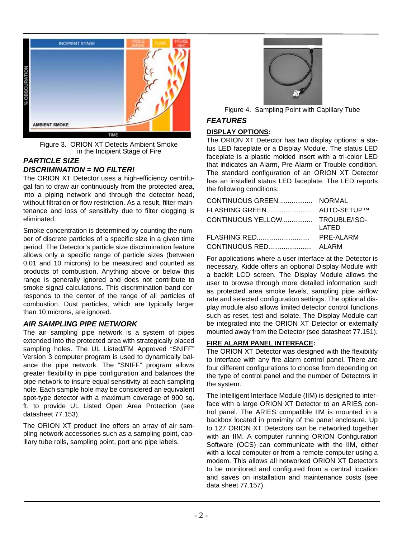

Figure 3. ORION XT Detects Ambient Smoke in the Incipient Stage of Fire

#### *PARTICLE SIZE DISCRIMINATION = NO FILTER!*

The ORION XT Detector uses a high-efficiency centrifugal fan to draw air continuously from the protected area, into a piping network and through the detector head, without filtration or flow restriction. As a result, filter maintenance and loss of sensitivity due to filter clogging is eliminated.

Smoke concentration is determined by counting the number of discrete particles of a specific size in a given time period. The Detector's particle size discrimination feature allows only a specific range of particle sizes (between 0.01 and 10 microns) to be measured and counted as products of combustion. Anything above or below this range is generally ignored and does not contribute to smoke signal calculations. This discrimination band corresponds to the center of the range of all particles of combustion. Dust particles, which are typically larger than 10 microns, are ignored.

#### *AIR SAMPLING PIPE NETWORK*

The air sampling pipe network is a system of pipes extended into the protected area with strategically placed sampling holes. The UL Listed/FM Approved "SNIFF" Version 3 computer program is used to dynamically balance the pipe network. The "SNIFF" program allows greater flexibility in pipe configuration and balances the pipe network to insure equal sensitivity at each sampling hole. Each sample hole may be considered an equivalent spot-type detector with a maximum coverage of 900 sq. ft. to provide UL Listed Open Area Protection (see datasheet 77.153).

The ORION XT product line offers an array of air sampling network accessories such as a sampling point, capillary tube rolls, sampling point, port and pipe labels.



|  | Figure 4. Sampling Point with Capillary Tube |  |
|--|----------------------------------------------|--|
|  |                                              |  |

# *FEATURES*

#### **DISPLAY OPTIONS:**

The ORION XT Detector has two display options: a status LED faceplate or a Display Module. The status LED faceplate is a plastic molded insert with a tri-color LED that indicates an Alarm, Pre-Alarm or Trouble condition. The standard configuration of an ORION XT Detector has an installed status LED faceplate. The LED reports the following conditions:

| CONTINUOUS YELLOW TROUBLE/ISO- | LATED     |
|--------------------------------|-----------|
| FLASHING RED                   | PRE-ALARM |
|                                |           |

For applications where a user interface at the Detector is necessary, Kidde offers an optional Display Module with a backlit LCD screen. The Display Module allows the user to browse through more detailed information such as protected area smoke levels, sampling pipe airflow rate and selected configuration settings. The optional display module also allows limited detector control functions such as reset, test and isolate. The Display Module can be integrated into the ORION XT Detector or externally mounted away from the Detector (see datasheet 77.151).

#### **FIRE ALARM PANEL INTERFACE:**

The ORION XT Detector was designed with the flexibility to interface with any fire alarm control panel. There are four different configurations to choose from depending on the type of control panel and the number of Detectors in the system.

The Intelligent Interface Module (IIM) is designed to interface with a large ORION XT Detector to an ARIES control panel. The ARIES compatible IIM is mounted in a backbox located in proximity of the panel enclosure. Up to 127 ORION XT Detectors can be networked together with an IIM. A computer running ORION Configuration Software (OCS) can communicate with the IIM, either with a local computer or from a remote computer using a modem. This allows all networked ORION XT Detectors to be monitored and configured from a central location and saves on installation and maintenance costs (see data sheet 77.157).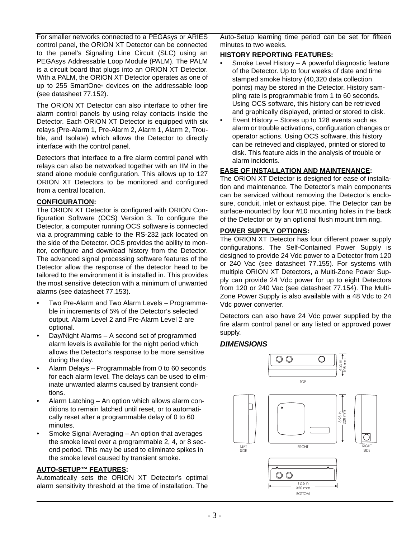For smaller networks connected to a PEGAsys or ARIES control panel, the ORION XT Detector can be connected to the panel's Signaling Line Circuit (SLC) using an PEGAsys Addressable Loop Module (PALM). The PALM is a circuit board that plugs into an ORION XT Detector. With a PALM, the ORION XT Detector operates as one of up to 255 SmartOne® devices on the addressable loop (see datasheet 77.152).

The ORION XT Detector can also interface to other fire alarm control panels by using relay contacts inside the Detector. Each ORION XT Detector is equipped with six relays (Pre-Alarm 1, Pre-Alarm 2, Alarm 1, Alarm 2, Trouble, and Isolate) which allows the Detector to directly interface with the control panel.

Detectors that interface to a fire alarm control panel with relays can also be networked together with an IIM in the stand alone module configuration. This allows up to 127 ORION XT Detectors to be monitored and configured from a central location.

#### **CONFIGURATION:**

The ORION XT Detector is configured with ORION Configuration Software (OCS) Version 3. To configure the Detector, a computer running OCS software is connected via a programming cable to the RS-232 jack located on the side of the Detector. OCS provides the ability to monitor, configure and download history from the Detector. The advanced signal processing software features of the Detector allow the response of the detector head to be tailored to the environment it is installed in. This provides the most sensitive detection with a minimum of unwanted alarms (see datasheet 77.153).

- Two Pre-Alarm and Two Alarm Levels *–* Programmable in increments of 5% of the Detector's selected output. Alarm Level 2 and Pre-Alarm Level 2 are optional.
- Day/Night Alarms A second set of programmed alarm levels is available for the night period which allows the Detector's response to be more sensitive during the day.
- Alarm Delays Programmable from 0 to 60 seconds for each alarm level. The delays can be used to eliminate unwanted alarms caused by transient conditions.
- Alarm Latching An option which allows alarm conditions to remain latched until reset, or to automatically reset after a programmable delay of 0 to 60 minutes.
- Smoke Signal Averaging An option that averages the smoke level over a programmable 2, 4, or 8 second period. This may be used to eliminate spikes in the smoke level caused by transient smoke.

#### **AUTO-SETUP™ FEATURES:**

Automatically sets the ORION XT Detector's optimal alarm sensitivity threshold at the time of installation. The Auto-Setup learning time period can be set for fifteen minutes to two weeks.

#### **HISTORY REPORTING FEATURES:**

- Smoke Level History A powerful diagnostic feature of the Detector. Up to four weeks of date and time stamped smoke history (40,320 data collection points) may be stored in the Detector. History sampling rate is programmable from 1 to 60 seconds. Using OCS software, this history can be retrieved and graphically displayed, printed or stored to disk.
- Event History Stores up to 128 events such as alarm or trouble activations, configuration changes or operator actions. Using OCS software, this history can be retrieved and displayed, printed or stored to disk. This feature aids in the analysis of trouble or alarm incidents.

#### **EASE OF INSTALLATION AND MAINTENANCE:**

The ORION XT Detector is designed for ease of installation and maintenance. The Detector's main components can be serviced without removing the Detector's enclosure, conduit, inlet or exhaust pipe. The Detector can be surface-mounted by four #10 mounting holes in the back of the Detector or by an optional flush mount trim ring.

#### **POWER SUPPLY OPTIONS:**

The ORION XT Detector has four different power supply configurations. The Self-Contained Power Supply is designed to provide 24 Vdc power to a Detector from 120 or 240 Vac (see datasheet 77.155). For systems with multiple ORION XT Detectors, a Multi-Zone Power Supply can provide 24 Vdc power for up to eight Detectors from 120 or 240 Vac (see datasheet 77.154). The Multi-Zone Power Supply is also available with a 48 Vdc to 24 Vdc power converter.

Detectors can also have 24 Vdc power supplied by the fire alarm control panel or any listed or approved power supply.

#### *DIMENSIONS*